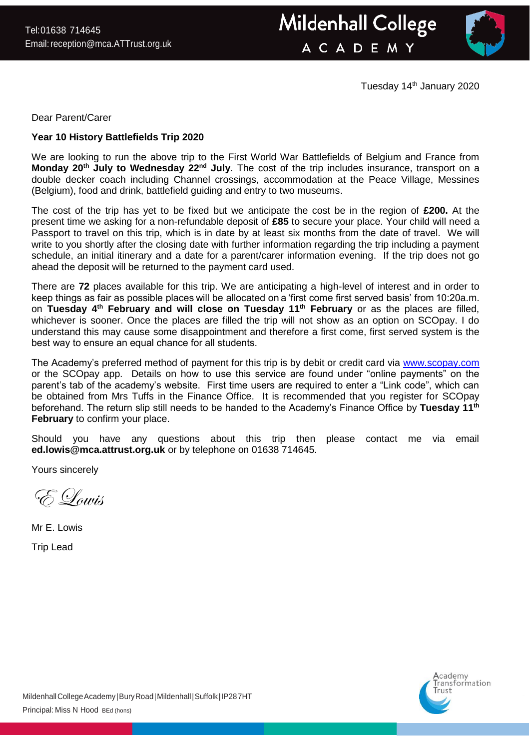



Tuesday 14<sup>th</sup> January 2020

Dear Parent/Carer

## **Year 10 History Battlefields Trip 2020**

We are looking to run the above trip to the First World War Battlefields of Belgium and France from **Monday 20th July to Wednesday 22nd July**. The cost of the trip includes insurance, transport on a double decker coach including Channel crossings, accommodation at the Peace Village, Messines (Belgium), food and drink, battlefield guiding and entry to two museums.

The cost of the trip has yet to be fixed but we anticipate the cost be in the region of **£200.** At the present time we asking for a non-refundable deposit of **£85** to secure your place. Your child will need a Passport to travel on this trip, which is in date by at least six months from the date of travel. We will write to you shortly after the closing date with further information regarding the trip including a payment schedule, an initial itinerary and a date for a parent/carer information evening. If the trip does not go ahead the deposit will be returned to the payment card used.

There are **72** places available for this trip. We are anticipating a high-level of interest and in order to keep things as fair as possible places will be allocated on a 'first come first served basis' from 10:20a.m. on **Tuesday 4th February and will close on Tuesday 11th February** or as the places are filled, whichever is sooner. Once the places are filled the trip will not show as an option on SCOpay. I do understand this may cause some disappointment and therefore a first come, first served system is the best way to ensure an equal chance for all students. 

The Academy's preferred method of payment for this trip is by debit or credit card via [www.scopay.com](http://www.scopay.com/) or the SCOpay app. Details on how to use this service are found under "online payments" on the parent's tab of the academy's website. First time users are required to enter a "Link code", which can be obtained from Mrs Tuffs in the Finance Office. It is recommended that you register for SCOpay beforehand. The return slip still needs to be handed to the Academy's Finance Office by **Tuesday 11th February** to confirm your place.

Should you have any questions about this trip then please contact me via email **ed.lowis@mca.attrust.org.uk** or by telephone on 01638 714645.

Yours sincerely

E Lowis

Mr E. Lowis

Trip Lead

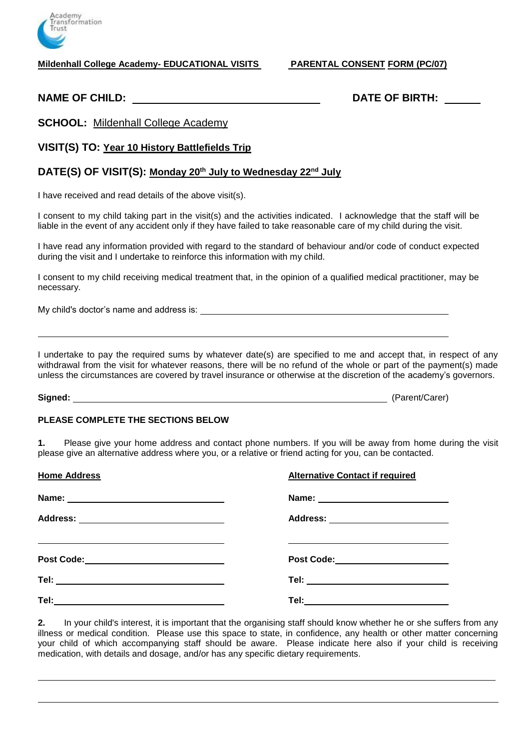

**Mildenhall College Academy- EDUCATIONAL VISITS PARENTAL CONSENT FORM (PC/07)**

**NAME OF CHILD: DATE OF BIRTH:**

**SCHOOL:** Mildenhall College Academy

**VISIT(S) TO: Year 10 History Battlefields Trip**

## **DATE(S) OF VISIT(S): Monday 20th July to Wednesday 22nd July**

I have received and read details of the above visit(s).

I consent to my child taking part in the visit(s) and the activities indicated. I acknowledge that the staff will be liable in the event of any accident only if they have failed to take reasonable care of my child during the visit.

I have read any information provided with regard to the standard of behaviour and/or code of conduct expected during the visit and I undertake to reinforce this information with my child.

I consent to my child receiving medical treatment that, in the opinion of a qualified medical practitioner, may be necessary.

My child's doctor's name and address is:

I undertake to pay the required sums by whatever date(s) are specified to me and accept that, in respect of any withdrawal from the visit for whatever reasons, there will be no refund of the whole or part of the payment(s) made unless the circumstances are covered by travel insurance or otherwise at the discretion of the academy's governors.

**Signed:** (Parent/Carer)

## **PLEASE COMPLETE THE SECTIONS BELOW**

**1.** Please give your home address and contact phone numbers. If you will be away from home during the visit please give an alternative address where you, or a relative or friend acting for you, can be contacted.

| <b>Home Address</b>                                                                                   | <b>Alternative Contact if required</b> |
|-------------------------------------------------------------------------------------------------------|----------------------------------------|
|                                                                                                       |                                        |
| Address: _________________________________                                                            | Address: ________________________      |
| <u> 1989 - Johann Stoff, amerikansk politiker (d. 1989)</u><br>Post Code:____________________________ | Post Code:_______________________      |
|                                                                                                       | Tel: ______________________________    |
|                                                                                                       | Tel:_______________________________    |

**2.** In your child's interest, it is important that the organising staff should know whether he or she suffers from any illness or medical condition. Please use this space to state, in confidence, any health or other matter concerning your child of which accompanying staff should be aware. Please indicate here also if your child is receiving medication, with details and dosage, and/or has any specific dietary requirements.